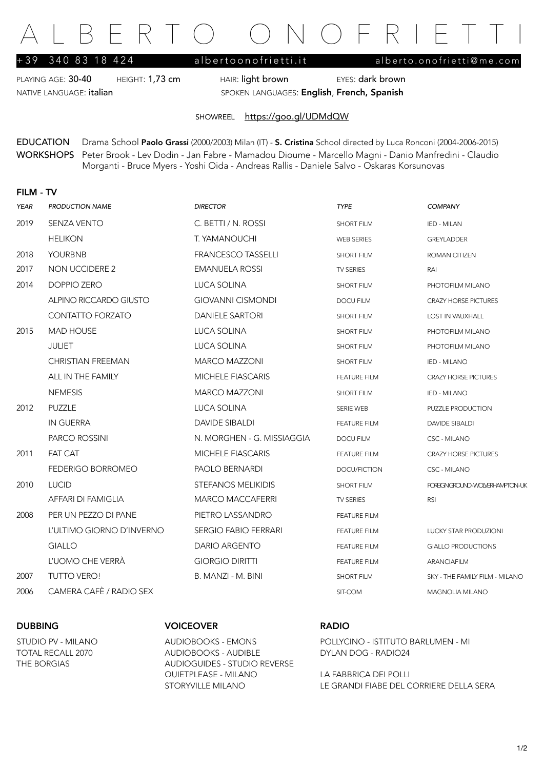# FRTO ONOFRIE

PLAYING AGE: 30-40 HEIGHT: 1,73 cm HAIR: light brown EYES: dark brown NATIVE LANGUAGE: italian SPOKEN LANGUAGES: English, French, Spanish

+39 340 83 18 424 [albertoonofrietti.it](http://albertoonofrietti.it) [alberto.onofrietti@me.com](mailto:alberto.onofrietti@me.com)

SHOWREEL <https://goo.gl/UDMdQW>

EDUCATION Drama School Paolo Grassi (2000/2003) Milan (IT) - S. Cristina School directed by Luca Ronconi (2004-2006-2015) WORKSHOPS Peter Brook - Lev Dodin - Jan Fabre - Mamadou Dioume - Marcello Magni - Danio Manfredini - Claudio Morganti - Bruce Myers - Yoshi Oida - Andreas Rallis - Daniele Salvo - Oskaras Korsunovas

## FILM - TV

| <b>YEAR</b> | <b>PRODUCTION NAME</b>    | <b>DIRECTOR</b>             | <b>TYPE</b>         | <b>COMPANY</b>                 |
|-------------|---------------------------|-----------------------------|---------------------|--------------------------------|
| 2019        | <b>SENZA VENTO</b>        | C. BETTI / N. ROSSI         | <b>SHORT FILM</b>   | IED - MILAN                    |
|             | <b>HELIKON</b>            | T. YAMANOUCHI               | <b>WEB SERIES</b>   | GREYLADDER                     |
| 2018        | <b>YOURBNB</b>            | <b>FRANCESCO TASSELLI</b>   | <b>SHORT FILM</b>   | ROMAN CITIZEN                  |
| 2017        | NON UCCIDERE 2            | <b>EMANUELA ROSSI</b>       | TV SERIES           | RAI                            |
| 2014        | <b>DOPPIO ZERO</b>        | LUCA SOLINA                 | <b>SHORT FILM</b>   | PHOTOFILM MILANO               |
|             | ALPINO RICCARDO GIUSTO    | <b>GIOVANNI CISMONDI</b>    | <b>DOCU FILM</b>    | <b>CRAZY HORSE PICTURES</b>    |
|             | CONTATTO FORZATO          | <b>DANIELE SARTORI</b>      | <b>SHORT FILM</b>   | LOST IN VAUXHALL               |
| 2015        | <b>MAD HOUSE</b>          | <b>LUCA SOLINA</b>          | <b>SHORT FILM</b>   | PHOTOFILM MILANO               |
|             | <b>JULIET</b>             | LUCA SOLINA                 | <b>SHORT FILM</b>   | PHOTOFILM MILANO               |
|             | <b>CHRISTIAN FREEMAN</b>  | <b>MARCO MAZZONI</b>        | <b>SHORT FILM</b>   | IED - MILANO                   |
|             | ALL IN THE FAMILY         | <b>MICHELE FIASCARIS</b>    | <b>FEATURE FILM</b> | <b>CRAZY HORSE PICTURES</b>    |
|             | <b>NEMESIS</b>            | <b>MARCO MAZZONI</b>        | <b>SHORT FILM</b>   | IED - MILANO                   |
| 2012        | PUZZLE                    | <b>LUCA SOLINA</b>          | <b>SERIE WEB</b>    | PUZZLE PRODUCTION              |
|             | <b>IN GUERRA</b>          | <b>DAVIDE SIBALDI</b>       | <b>FEATURE FILM</b> | <b>DAVIDE SIBALDI</b>          |
|             | PARCO ROSSINI             | N. MORGHEN - G. MISSIAGGIA  | <b>DOCU FILM</b>    | CSC - MILANO                   |
| 2011        | <b>FAT CAT</b>            | <b>MICHELE FIASCARIS</b>    | <b>FEATURE FILM</b> | <b>CRAZY HORSE PICTURES</b>    |
|             | <b>FEDERIGO BORROMEO</b>  | <b>PAOLO BERNARDI</b>       | DOCU/FICTION        | CSC - MILANO                   |
| 2010        | <b>LUCID</b>              | <b>STEFANOS MELIKIDIS</b>   | <b>SHORT FILM</b>   | FOREGNGROUND-WOLVERHAMPTON-UK  |
|             | AFFARI DI FAMIGLIA        | <b>MARCO MACCAFERRI</b>     | <b>TV SERIES</b>    | <b>RSI</b>                     |
| 2008        | PER UN PEZZO DI PANE      | PIETRO LASSANDRO            | <b>FEATURE FILM</b> |                                |
|             | L'ULTIMO GIORNO D'INVERNO | <b>SERGIO FABIO FERRARI</b> | <b>FEATURE FILM</b> | <b>LUCKY STAR PRODUZIONI</b>   |
|             | <b>GIALLO</b>             | <b>DARIO ARGENTO</b>        | <b>FEATURE FILM</b> | <b>GIALLO PRODUCTIONS</b>      |
|             | L'UOMO CHE VERRÀ          | <b>GIORGIO DIRITTI</b>      | <b>FEATURE FILM</b> | <b>ARANCIAFILM</b>             |
| 2007        | <b>TUTTO VERO!</b>        | B. MANZI - M. BINI          | <b>SHORT FILM</b>   | SKY - THE FAMILY FILM - MILANO |
| 2006        | CAMERA CAFÈ / RADIO SEX   |                             | SIT-COM             | MAGNOLIA MILANO                |
|             |                           |                             |                     |                                |

## DUBBING VOICEOVER RADIO

TOTAL RECALL 2070 AUDIOBOOKS - AUDIBLE DYLAN DOG - RADIO24 THE BORGIAS AUDIOGUIDES - STUDIO REVERSE QUIETPLEASE - MILANO LA FABBRICA DEI POLLI

STUDIO PV - MILANO AUDIOBOOKS - EMONS POLLYCINO - ISTITUTO BARLUMEN - MI

STORYVILLE MILANO LE GRANDI FIABE DEL CORRIERE DELLA SERA